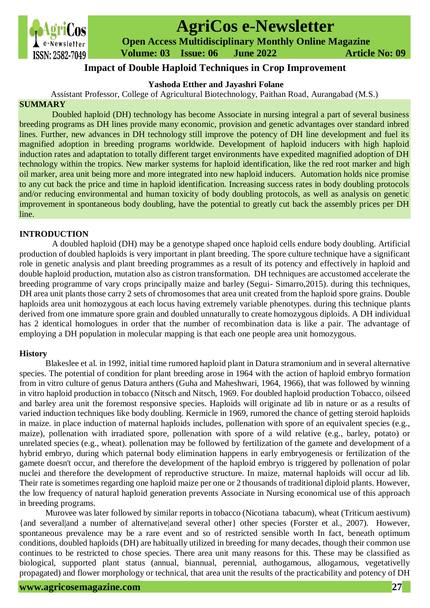

# **AgriCos e-Newsletter**

 **Open Access Multidisciplinary Monthly Online Magazine**

 **Volume: 03 Issue: 06 June 2022 Article No: 09**

## **Impact of Double Haploid Techniques in Crop Improvement**

## **Yashoda Etther and Jayashri Folane**

Assistant Professor, College of Agricultural Biotechnology, Paithan Road, Aurangabad (M.S.)

## **SUMMARY**

Doubled haploid (DH) technology has become Associate in nursing integral a part of several business breeding programs as DH lines provide many economic, provision and genetic advantages over standard inbred lines. Further, new advances in DH technology still improve the potency of DH line development and fuel its magnified adoption in breeding programs worldwide. Development of haploid inducers with high haploid induction rates and adaptation to totally different target environments have expedited magnified adoption of DH technology within the tropics. New marker systems for haploid identification, like the red root marker and high oil marker, area unit being more and more integrated into new haploid inducers. Automation holds nice promise to any cut back the price and time in haploid identification. Increasing success rates in body doubling protocols and/or reducing environmental and human toxicity of body doubling protocols, as well as analysis on genetic improvement in spontaneous body doubling, have the potential to greatly cut back the assembly prices per DH line.

## **INTRODUCTION**

A doubled haploid (DH) may be a genotype shaped once haploid cells endure body doubling. Artificial production of doubled haploids is very important in plant breeding. The spore culture technique have a significant role in genetic analysis and plant breeding programmes as a result of its potency and effectively in haploid and double haploid production, mutation also as cistron transformation. DH techniques are accustomed accelerate the breeding programme of vary crops principally maize and barley (Segui- Simarro,2015). during this techniques, DH area unit plants those carry 2 sets of chromosomes that area unit created from the haploid spore grains. Double haploids area unit homozygous at each locus having extremely variable phenotypes. during this technique plants derived from one immature spore grain and doubled unnaturally to create homozygous diploids. A DH individual has 2 identical homologues in order that the number of recombination data is like a pair. The advantage of employing a DH population in molecular mapping is that each one people area unit homozygous.

## **History**

Blakeslee et al. in 1992, initial time rumored haploid plant in Datura stramonium and in several alternative species. The potential of condition for plant breeding arose in 1964 with the action of haploid embryo formation from in vitro culture of genus Datura anthers (Guha and Maheshwari, 1964, 1966), that was followed by winning in vitro haploid production in tobacco (Nitsch and Nitsch, 1969. For doubled haploid production Tobacco, oilseed and barley area unit the foremost responsive species. Haploids will originate ad lib in nature or as a results of varied induction techniques like body doubling. Kermicle in 1969, rumored the chance of getting steroid haploids in maize. in place induction of maternal haploids includes, pollenation with spore of an equivalent species (e.g., maize), pollenation with irradiated spore, pollenation with spore of a wild relative (e.g., barley, potato) or unrelated species (e.g., wheat). pollenation may be followed by fertilization of the gamete and development of a hybrid embryo, during which paternal body elimination happens in early embryogenesis or fertilization of the gamete doesn't occur, and therefore the development of the haploid embryo is triggered by pollenation of polar nuclei and therefore the development of reproductive structure. In maize, maternal haploids will occur ad lib. Their rate is sometimes regarding one haploid maize per one or 2 thousands of traditional diploid plants. However, the low frequency of natural haploid generation prevents Associate in Nursing economical use of this approach in breeding programs.

Murovee was later followed by similar reports in tobacco (Nicotiana tabacum), wheat (Triticum aestivum) {and several|and a number of alternative|and several other} other species (Forster et al., 2007). However, spontaneous prevalence may be a rare event and so of restricted sensible worth In fact, beneath optimum conditions, doubled haploids (DH) are habitually utilized in breeding for many decades, though their common use continues to be restricted to chose species. There area unit many reasons for this. These may be classified as biological, supported plant status (annual, biannual, perennial, authogamous, allogamous, vegetativelly propagated) and flower morphology or technical, that area unit the results of the practicability and potency of DH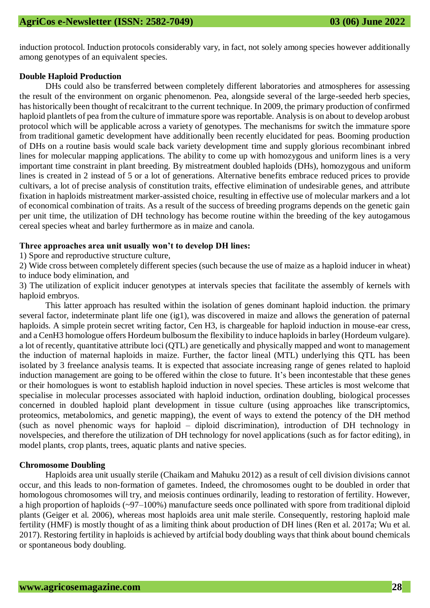induction protocol. Induction protocols considerably vary, in fact, not solely among species however additionally among genotypes of an equivalent species.

#### **Double Haploid Production**

DHs could also be transferred between completely different laboratories and atmospheres for assessing the result of the environment on organic phenomenon. Pea, alongside several of the large-seeded herb species, has historically been thought of recalcitrant to the current technique. In 2009, the primary production of confirmed haploid plantlets of pea from the culture of immature spore was reportable. Analysis is on about to develop arobust protocol which will be applicable across a variety of genotypes. The mechanisms for switch the immature spore from traditional gametic development have additionally been recently elucidated for peas. Booming production of DHs on a routine basis would scale back variety development time and supply glorious recombinant inbred lines for molecular mapping applications. The ability to come up with homozygous and uniform lines is a very important time constraint in plant breeding. By mistreatment doubled haploids (DHs), homozygous and uniform lines is created in 2 instead of 5 or a lot of generations. Alternative benefits embrace reduced prices to provide cultivars, a lot of precise analysis of constitution traits, effective elimination of undesirable genes, and attribute fixation in haploids mistreatment marker-assisted choice, resulting in effective use of molecular markers and a lot of economical combination of traits. As a result of the success of breeding programs depends on the genetic gain per unit time, the utilization of DH technology has become routine within the breeding of the key autogamous cereal species wheat and barley furthermore as in maize and canola.

#### **Three approaches area unit usually won't to develop DH lines:**

1) Spore and reproductive structure culture,

2) Wide cross between completely different species (such because the use of maize as a haploid inducer in wheat) to induce body elimination, and

3) The utilization of explicit inducer genotypes at intervals species that facilitate the assembly of kernels with haploid embryos.

This latter approach has resulted within the isolation of genes dominant haploid induction. the primary several factor, indeterminate plant life one (ig1), was discovered in maize and allows the generation of paternal haploids. A simple protein secret writing factor, Cen H3, is chargeable for haploid induction in mouse-ear cress, and a CenH3 homologue offers Hordeum bulbosum the flexibility to induce haploids in barley (Hordeum vulgare). a lot of recently, quantitative attribute loci (QTL) are genetically and physically mapped and wont to management the induction of maternal haploids in maize. Further, the factor lineal (MTL) underlying this QTL has been isolated by 3 freelance analysis teams. It is expected that associate increasing range of genes related to haploid induction management are going to be offered within the close to future. It's been incontestable that these genes or their homologues is wont to establish haploid induction in novel species. These articles is most welcome that specialise in molecular processes associated with haploid induction, ordination doubling, biological processes concerned in doubled haploid plant development in tissue culture (using approaches like transcriptomics, proteomics, metabolomics, and genetic mapping), the event of ways to extend the potency of the DH method (such as novel phenomic ways for haploid – diploid discrimination), introduction of DH technology in novelspecies, and therefore the utilization of DH technology for novel applications (such as for factor editing), in model plants, crop plants, trees, aquatic plants and native species.

#### **Chromosome Doubling**

Haploids area unit usually sterile (Chaikam and Mahuku 2012) as a result of cell division divisions cannot occur, and this leads to non-formation of gametes. Indeed, the chromosomes ought to be doubled in order that homologous chromosomes will try, and meiosis continues ordinarily, leading to restoration of fertility. However, a high proportion of haploids (~97–100%) manufacture seeds once pollinated with spore from traditional diploid plants (Geiger et al. 2006), whereas most haploids area unit male sterile. Consequently, restoring haploid male fertility (HMF) is mostly thought of as a limiting think about production of DH lines (Ren et al. 2017a; Wu et al. 2017). Restoring fertility in haploids is achieved by artifcial body doubling ways that think about bound chemicals or spontaneous body doubling.